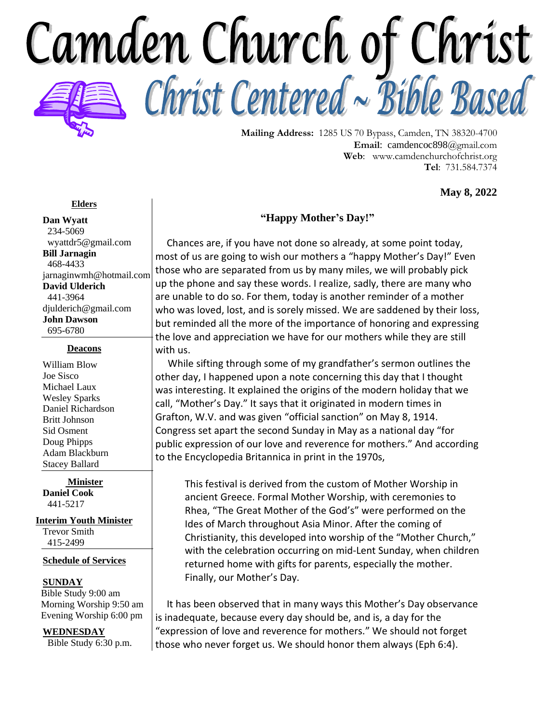

**Mailing Address:** 1285 US 70 Bypass, Camden, TN 38320-4700 **Email**: camdencoc898@gmail.com **Web**: [www.camdenchurchofchrist.org](http://www.camdencoc.com/) **Tel**: 731.584.7374

**May 8, 2022**

#### **Elders**

**Dan Wyatt** 234-5069 wyattdr5@gmail.com **Bill Jarnagin** 468-4433 jarnaginwmh@hotmail.com **David Ulderich** 441-3964 [djulderich@gmail.com](mailto:djulderich@gmail.com) **John Dawson** 695-6780

#### **Deacons**

William Blow Joe Sisco Michael Laux Wesley Sparks Daniel Richardson Britt Johnson Sid Osment Doug Phipps Adam Blackburn Stacey Ballard

**Minister Daniel Cook** 441-5217

**Interim Youth Minister**

Trevor Smith 415-2499

#### **Schedule of Services**

#### **SUNDAY**

 Bible Study 9:00 am Morning Worship 9:50 am Evening Worship 6:00 pm

#### **WEDNESDAY**

Bible Study 6:30 p.m.

### **"Happy Mother's Day!"**

Chances are, if you have not done so already, at some point today, most of us are going to wish our mothers a "happy Mother's Day!" Even those who are separated from us by many miles, we will probably pick up the phone and say these words. I realize, sadly, there are many who are unable to do so. For them, today is another reminder of a mother who was loved, lost, and is sorely missed. We are saddened by their loss, but reminded all the more of the importance of honoring and expressing the love and appreciation we have for our mothers while they are still with us.

 While sifting through some of my grandfather's sermon outlines the other day, I happened upon a note concerning this day that I thought was interesting. It explained the origins of the modern holiday that we call, "Mother's Day." It says that it originated in modern times in Grafton, W.V. and was given "official sanction" on May 8, 1914. Congress set apart the second Sunday in May as a national day "for public expression of our love and reverence for mothers." And according to the Encyclopedia Britannica in print in the 1970s,

This festival is derived from the custom of Mother Worship in ancient Greece. Formal Mother Worship, with ceremonies to Rhea, "The Great Mother of the God's" were performed on the Ides of March throughout Asia Minor. After the coming of Christianity, this developed into worship of the "Mother Church," with the celebration occurring on mid-Lent Sunday, when children returned home with gifts for parents, especially the mother. Finally, our Mother's Day.

 It has been observed that in many ways this Mother's Day observance is inadequate, because every day should be, and is, a day for the "expression of love and reverence for mothers." We should not forget those who never forget us. We should honor them always (Eph 6:4).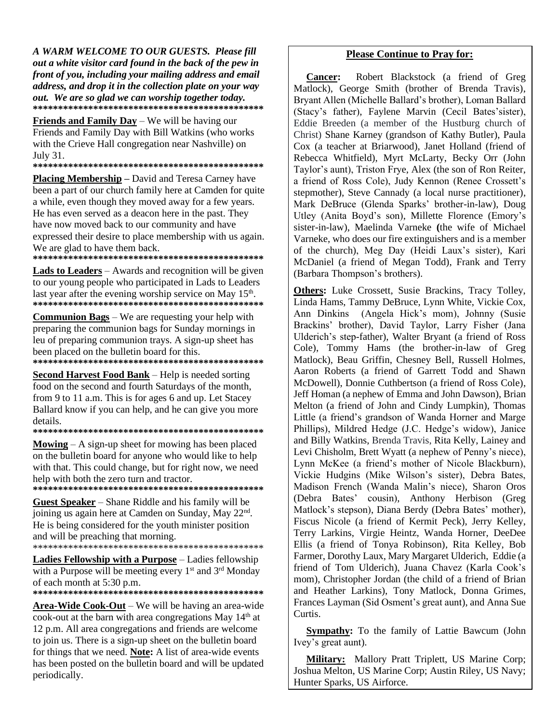A WARM WELCOME TO OUR GUESTS. Please fill out a white visitor card found in the back of the pew in front of you, including your mailing address and email address, and drop it in the collection plate on your way out. We are so glad we can worship together today. 

**Friends and Family Day** – We will be having our Friends and Family Day with Bill Watkins (who works with the Crieve Hall congregation near Nashville) on July 31.

Placing Membership - David and Teresa Carney have been a part of our church family here at Camden for quite a while, even though they moved away for a few years. He has even served as a deacon here in the past. They have now moved back to our community and have expressed their desire to place membership with us again. We are glad to have them back.

**Lads to Leaders** – Awards and recognition will be given to our young people who participated in Lads to Leaders last year after the evening worship service on May  $15<sup>th</sup>$ . 

**Communion Bags** – We are requesting your help with preparing the communion bags for Sunday mornings in leu of preparing communion trays. A sign-up sheet has been placed on the bulletin board for this. 

**Second Harvest Food Bank** – Help is needed sorting food on the second and fourth Saturdays of the month, from 9 to 11 a.m. This is for ages 6 and up. Let Stacey Ballard know if you can help, and he can give you more details.

**Mowing**  $- A$  sign-up sheet for mowing has been placed on the bulletin board for anyone who would like to help with that. This could change, but for right now, we need help with both the zero turn and tractor.

**Guest Speaker** – Shane Riddle and his family will be joining us again here at Camden on Sunday, May 22<sup>nd</sup>. He is being considered for the youth minister position and will be preaching that morning. 

Ladies Fellowship with a Purpose - Ladies fellowship with a Purpose will be meeting every 1<sup>st</sup> and 3<sup>rd</sup> Monday of each month at 5:30 p.m.

**Area-Wide Cook-Out** – We will be having an area-wide cook-out at the barn with area congregations May 14<sup>th</sup> at 12 p.m. All area congregations and friends are welcome to join us. There is a sign-up sheet on the bulletin board for things that we need. **Note:** A list of area-wide events has been posted on the bulletin board and will be updated periodically.

#### **Please Continue to Pray for:**

Robert Blackstock (a friend of Greg **Cancer:** Matlock), George Smith (brother of Brenda Travis), Bryant Allen (Michelle Ballard's brother), Loman Ballard (Stacy's father), Faylene Marvin (Cecil Bates'sister), Eddie Breeden (a member of the Hustburg church of Christ) Shane Karney (grandson of Kathy Butler), Paula Cox (a teacher at Briarwood), Janet Holland (friend of Rebecca Whitfield), Myrt McLarty, Becky Orr (John Taylor's aunt), Triston Frye, Alex (the son of Ron Reiter, a friend of Ross Cole), Judy Kennon (Renee Crossett's stepmother). Steve Cannady (a local nurse practitioner). Mark DeBruce (Glenda Sparks' brother-in-law), Doug Utley (Anita Boyd's son), Millette Florence (Emory's sister-in-law), Maelinda Varneke (the wife of Michael Varneke, who does our fire extinguishers and is a member of the church), Meg Day (Heidi Laux's sister), Kari McDaniel (a friend of Megan Todd), Frank and Terry (Barbara Thompson's brothers).

Others: Luke Crossett, Susie Brackins, Tracy Tolley, Linda Hams, Tammy DeBruce, Lynn White, Vickie Cox, Ann Dinkins (Angela Hick's mom), Johnny (Susie Brackins' brother), David Taylor, Larry Fisher (Jana Ulderich's step-father), Walter Bryant (a friend of Ross Cole), Tommy Hams (the brother-in-law of Greg Matlock), Beau Griffin, Chesney Bell, Russell Holmes, Aaron Roberts (a friend of Garrett Todd and Shawn McDowell), Donnie Cuthbertson (a friend of Ross Cole), Jeff Homan (a nephew of Emma and John Dawson), Brian Melton (a friend of John and Cindy Lumpkin), Thomas Little (a friend's grandson of Wanda Horner and Marge Phillips), Mildred Hedge (J.C. Hedge's widow), Janice and Billy Watkins, Brenda Travis, Rita Kelly, Lainey and Levi Chisholm, Brett Wyatt (a nephew of Penny's niece), Lynn McKee (a friend's mother of Nicole Blackburn), Vickie Hudgins (Mike Wilson's sister), Debra Bates, Madison French (Wanda Malin's niece), Sharon Oros (Debra Bates' cousin), Anthony Herbison (Greg Matlock's stepson), Diana Berdy (Debra Bates' mother), Fiscus Nicole (a friend of Kermit Peck), Jerry Kelley, Terry Larkins, Virgie Heintz, Wanda Horner, DeeDee Ellis (a friend of Tonya Robinson), Rita Kelley, Bob Farmer, Dorothy Laux, Mary Margaret Ulderich, Eddie (a friend of Tom Ulderich), Juana Chavez (Karla Cook's mom), Christopher Jordan (the child of a friend of Brian and Heather Larkins), Tony Matlock, Donna Grimes, Frances Layman (Sid Osment's great aunt), and Anna Sue Curtis.

**Sympathy:** To the family of Lattie Bawcum (John Ivey's great aunt).

Military: Mallory Pratt Triplett, US Marine Corp; Joshua Melton, US Marine Corp; Austin Riley, US Navy; Hunter Sparks, US Airforce.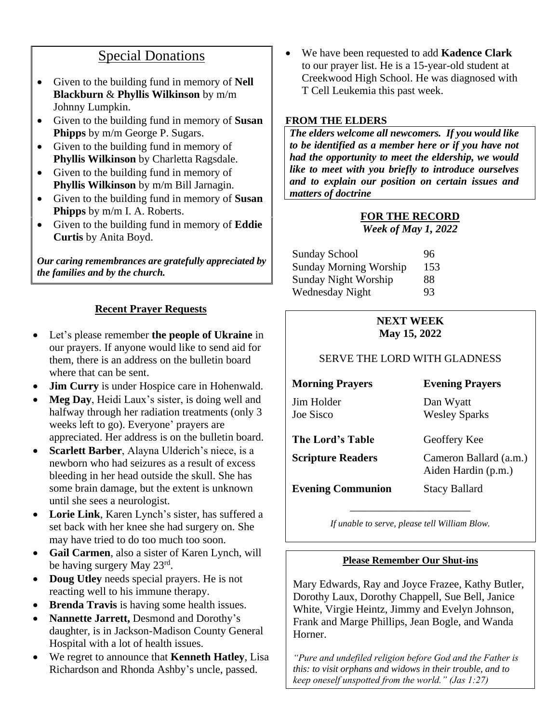## Special Donations

- Given to the building fund in memory of **Nell Blackburn** & **Phyllis Wilkinson** by m/m Johnny Lumpkin.
- Given to the building fund in memory of **Susan Phipps** by m/m George P. Sugars.
- Given to the building fund in memory of **Phyllis Wilkinson** by Charletta Ragsdale.
- Given to the building fund in memory of **Phyllis Wilkinson** by m/m Bill Jarnagin.
- Given to the building fund in memory of **Susan Phipps** by m/m I. A. Roberts.
- Given to the building fund in memory of **Eddie Curtis** by Anita Boyd.

*Our caring remembrances are gratefully appreciated by the families and by the church.*

## **Recent Prayer Requests**

- Let's please remember **the people of Ukraine** in our prayers. If anyone would like to send aid for them, there is an address on the bulletin board where that can be sent.
- **Jim Curry** is under Hospice care in Hohenwald.
- **Meg Day**, Heidi Laux's sister, is doing well and halfway through her radiation treatments (only 3 weeks left to go). Everyone' prayers are appreciated. Her address is on the bulletin board.
- **Scarlett Barber**, Alayna Ulderich's niece, is a newborn who had seizures as a result of excess bleeding in her head outside the skull. She has some brain damage, but the extent is unknown until she sees a neurologist.
- **Lorie Link**, Karen Lynch's sister, has suffered a set back with her knee she had surgery on. She may have tried to do too much too soon.
- **Gail Carmen**, also a sister of Karen Lynch, will be having surgery May 23<sup>rd</sup>.
- **Doug Utley** needs special prayers. He is not reacting well to his immune therapy.
- **Brenda Travis** is having some health issues.
- **Nannette Jarrett,** Desmond and Dorothy's daughter, is in Jackson-Madison County General Hospital with a lot of health issues.
- We regret to announce that **Kenneth Hatley**, Lisa Richardson and Rhonda Ashby's uncle, passed.

• We have been requested to add **Kadence Clark** to our prayer list. He is a 15-year-old student at Creekwood High School. He was diagnosed with T Cell Leukemia this past week.

### **FROM THE ELDERS**

*The elders welcome all newcomers. If you would like to be identified as a member here or if you have not had the opportunity to meet the eldership, we would like to meet with you briefly to introduce ourselves and to explain our position on certain issues and matters of doctrine*

# **FOR THE RECORD**

*Week of May 1, 2022*

| 96  |
|-----|
| 153 |
| 88  |
| 93  |
|     |

## **NEXT WEEK May 15, 2022**

### SERVE THE LORD WITH GLADNESS

**Morning Prayers Evening Prayers** Jim Holder Dan Wyatt Joe Sisco Wesley Sparks

| The Lord's Table         | Geoffery Kee                                  |
|--------------------------|-----------------------------------------------|
| <b>Scripture Readers</b> | Cameron Ballard (a.m.)<br>Aiden Hardin (p.m.) |
| <b>Evening Communion</b> | <b>Stacy Ballard</b>                          |

\_\_\_\_\_\_\_\_\_\_\_\_\_\_\_\_\_\_\_\_\_\_ *If unable to serve, please tell William Blow.*

### **Please Remember Our Shut-ins**

Mary Edwards, Ray and Joyce Frazee, Kathy Butler, Dorothy Laux, Dorothy Chappell, Sue Bell, Janice White, Virgie Heintz, Jimmy and Evelyn Johnson, Frank and Marge Phillips, Jean Bogle, and Wanda Horner.

*"Pure and undefiled religion before God and the Father is this: to visit orphans and widows in their trouble, and to keep oneself unspotted from the world." (Jas 1:27)*